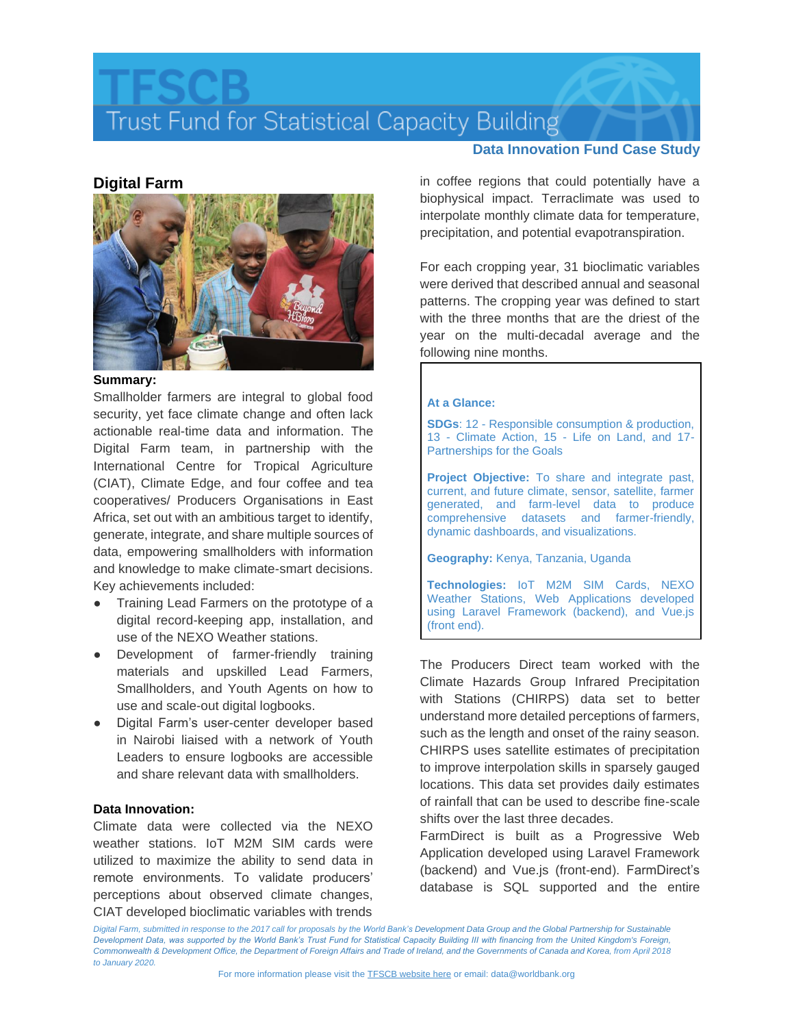## Trust Fund for Statistical Capacity Building

### **Digital Farm**



### **Summary:**

Smallholder farmers are integral to global food security, yet face climate change and often lack actionable real-time data and information. The Digital Farm team, in partnership with the International Centre for Tropical Agriculture (CIAT), Climate Edge, and four coffee and tea cooperatives/ Producers Organisations in East Africa, set out with an ambitious target to identify, generate, integrate, and share multiple sources of data, empowering smallholders with information and knowledge to make climate-smart decisions. Key achievements included:

- Training Lead Farmers on the prototype of a digital record-keeping app, installation, and use of the NEXO Weather stations.
- Development of farmer-friendly training materials and upskilled Lead Farmers, Smallholders, and Youth Agents on how to use and scale-out digital logbooks.
- Digital Farm's user-center developer based in Nairobi liaised with a network of Youth Leaders to ensure logbooks are accessible and share relevant data with smallholders.

### **Data Innovation:**

Climate data were collected via the NEXO weather stations. IoT M2M SIM cards were utilized to maximize the ability to send data in remote environments. To validate producers' perceptions about observed climate changes, CIAT developed bioclimatic variables with trends

### **Data Innovation Fund Case Study**

in coffee regions that could potentially have a biophysical impact. Terraclimate was used to interpolate monthly climate data for temperature, precipitation, and potential evapotranspiration.

For each cropping year, 31 bioclimatic variables were derived that described annual and seasonal patterns. The cropping year was defined to start with the three months that are the driest of the year on the multi-decadal average and the following nine months.

### **At a Glance:**

**SDGs**: 12 - Responsible consumption & production, 13 - Climate Action, 15 - Life on Land, and 17- Partnerships for the Goals

**Project Objective:** To share and integrate past, current, and future climate, sensor, satellite, farmer generated, and farm-level data to produce comprehensive datasets and farmer-friendly, dynamic dashboards, and visualizations.

**Geography:** Kenya, Tanzania, Uganda

**Technologies:** IoT M2M SIM Cards, NEXO Weather Stations, Web Applications developed using Laravel Framework (backend), and Vue.js (front end).

The Producers Direct team worked with the Climate Hazards Group Infrared Precipitation with Stations (CHIRPS) data set to better understand more detailed perceptions of farmers, such as the length and onset of the rainy season. CHIRPS uses satellite estimates of precipitation to improve interpolation skills in sparsely gauged locations. This data set provides daily estimates of rainfall that can be used to describe fine-scale shifts over the last three decades.

FarmDirect is built as a Progressive Web Application developed using Laravel Framework (backend) and Vue.js (front-end). FarmDirect's database is SQL supported and the entire

Digital Farm, submitted in response to the 2017 call for proposals by the World Bank's Development Data Group and the Global Partnership for Sustainable *Development Data, was supported by the World Bank's Trust Fund for Statistical Capacity Building III with financing from the United Kingdom's Foreign,*  Commonwealth & Development Office, the Department of Foreign Affairs and Trade of Ireland, and the Governments of Canada and Korea, from April 2018 *to January 2020.*